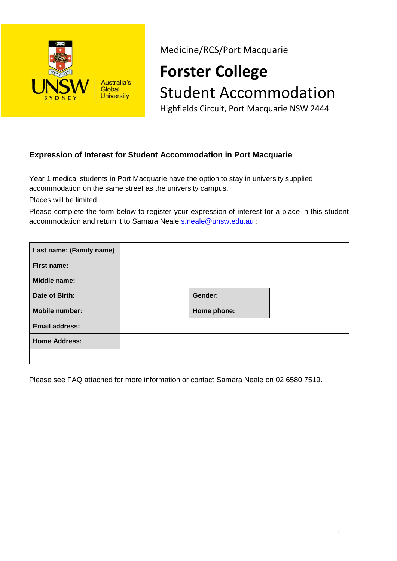

Medicine/RCS/Port Macquarie

# **Forster College** Student Accommodation

Highfields Circuit, Port Macquarie NSW 2444

## **Expression of Interest for Student Accommodation in Port Macquarie**

Year 1 medical students in Port Macquarie have the option to stay in university supplied accommodation on the same street as the university campus.

Places will be limited.

Please complete the form below to register your expression of interest for a place in this student accommodation and return it to Samara Neale **[s.neale@unsw.edu.au](mailto:s.neale@unsw.edu.au)** :

| Last name: (Family name) |             |  |
|--------------------------|-------------|--|
| <b>First name:</b>       |             |  |
| Middle name:             |             |  |
| Date of Birth:           | Gender:     |  |
| <b>Mobile number:</b>    | Home phone: |  |
| <b>Email address:</b>    |             |  |
| <b>Home Address:</b>     |             |  |
|                          |             |  |

Please see FAQ attached for more information or contact Samara Neale on 02 6580 7519.